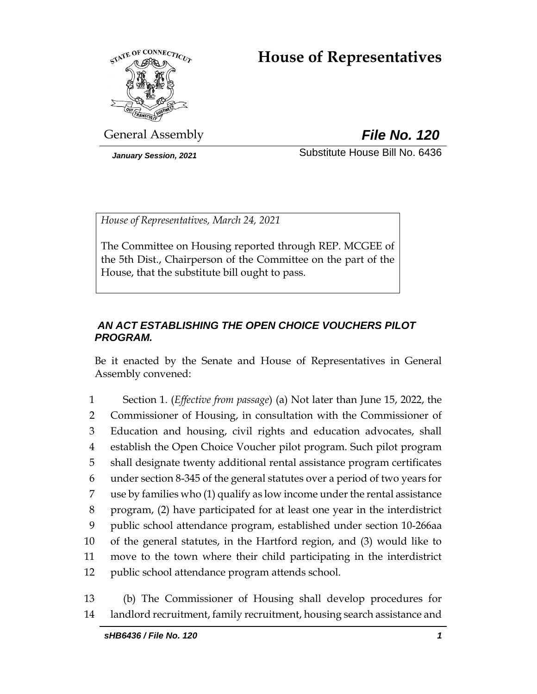# **House of Representatives**



General Assembly *File No. 120*

*January Session, 2021* Substitute House Bill No. 6436

*House of Representatives, March 24, 2021*

The Committee on Housing reported through REP. MCGEE of the 5th Dist., Chairperson of the Committee on the part of the House, that the substitute bill ought to pass.

# *AN ACT ESTABLISHING THE OPEN CHOICE VOUCHERS PILOT PROGRAM.*

Be it enacted by the Senate and House of Representatives in General Assembly convened:

 Section 1. (*Effective from passage*) (a) Not later than June 15, 2022, the Commissioner of Housing, in consultation with the Commissioner of Education and housing, civil rights and education advocates, shall establish the Open Choice Voucher pilot program. Such pilot program shall designate twenty additional rental assistance program certificates under section 8-345 of the general statutes over a period of two years for use by families who (1) qualify as low income under the rental assistance program, (2) have participated for at least one year in the interdistrict public school attendance program, established under section 10-266aa of the general statutes, in the Hartford region, and (3) would like to move to the town where their child participating in the interdistrict public school attendance program attends school.

13 (b) The Commissioner of Housing shall develop procedures for 14 landlord recruitment, family recruitment, housing search assistance and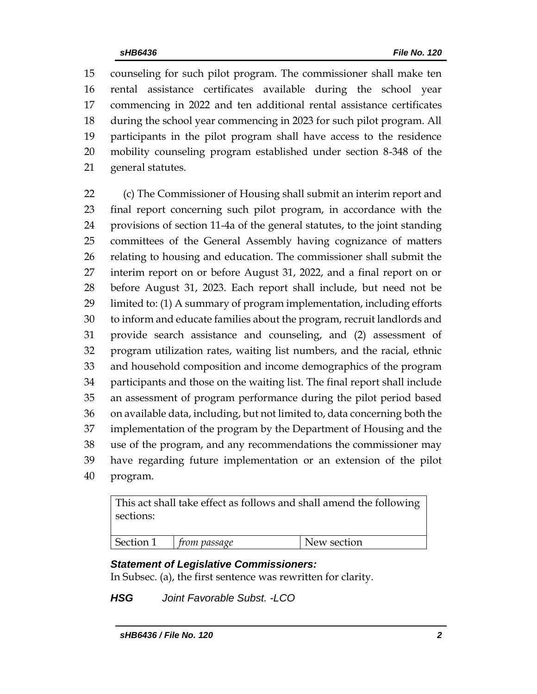counseling for such pilot program. The commissioner shall make ten rental assistance certificates available during the school year commencing in 2022 and ten additional rental assistance certificates during the school year commencing in 2023 for such pilot program. All participants in the pilot program shall have access to the residence mobility counseling program established under section 8-348 of the general statutes.

 (c) The Commissioner of Housing shall submit an interim report and final report concerning such pilot program, in accordance with the provisions of section 11-4a of the general statutes, to the joint standing committees of the General Assembly having cognizance of matters relating to housing and education. The commissioner shall submit the interim report on or before August 31, 2022, and a final report on or before August 31, 2023. Each report shall include, but need not be limited to: (1) A summary of program implementation, including efforts to inform and educate families about the program, recruit landlords and provide search assistance and counseling, and (2) assessment of program utilization rates, waiting list numbers, and the racial, ethnic and household composition and income demographics of the program participants and those on the waiting list. The final report shall include an assessment of program performance during the pilot period based on available data, including, but not limited to, data concerning both the implementation of the program by the Department of Housing and the use of the program, and any recommendations the commissioner may have regarding future implementation or an extension of the pilot program.

This act shall take effect as follows and shall amend the following sections:

| Section 1 | trom passage | New section |
|-----------|--------------|-------------|
|           |              |             |

## *Statement of Legislative Commissioners:*

In Subsec. (a), the first sentence was rewritten for clarity.

*HSG Joint Favorable Subst. -LCO*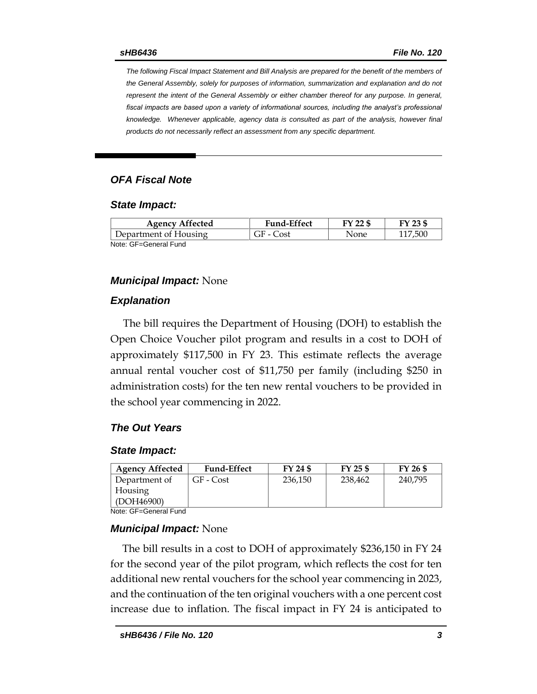*The following Fiscal Impact Statement and Bill Analysis are prepared for the benefit of the members of the General Assembly, solely for purposes of information, summarization and explanation and do not represent the intent of the General Assembly or either chamber thereof for any purpose. In general,*  fiscal impacts are based upon a variety of informational sources, including the analyst's professional *knowledge. Whenever applicable, agency data is consulted as part of the analysis, however final products do not necessarily reflect an assessment from any specific department.*

## *OFA Fiscal Note*

#### *State Impact:*

| <b>Agency Affected</b> | <b>Fund-Effect</b> | FY 22 \$ | FY 23 \$ |
|------------------------|--------------------|----------|----------|
| Department of Housing  | GF - Cost          | None     | 117.500  |
| Note: GF=General Fund  |                    |          |          |

#### *Municipal Impact:* None

## *Explanation*

The bill requires the Department of Housing (DOH) to establish the Open Choice Voucher pilot program and results in a cost to DOH of approximately \$117,500 in FY 23. This estimate reflects the average annual rental voucher cost of \$11,750 per family (including \$250 in administration costs) for the ten new rental vouchers to be provided in the school year commencing in 2022.

## *The Out Years*

#### *State Impact:*

| <b>Agency Affected</b> | <b>Fund-Effect</b> | FY 24 \$ | FY 25 \$ | FY 26 \$ |
|------------------------|--------------------|----------|----------|----------|
| Department of          | GF - Cost          | 236.150  | 238,462  | 240,795  |
| Housing                |                    |          |          |          |
| (DOH46900)             |                    |          |          |          |

Note: GF=General Fund

## *Municipal Impact:* None

The bill results in a cost to DOH of approximately \$236,150 in FY 24 for the second year of the pilot program, which reflects the cost for ten additional new rental vouchers for the school year commencing in 2023, and the continuation of the ten original vouchers with a one percent cost increase due to inflation. The fiscal impact in FY 24 is anticipated to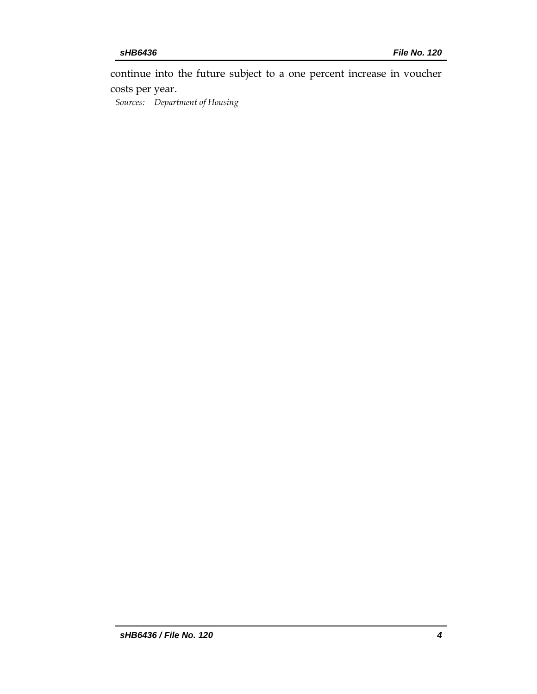continue into the future subject to a one percent increase in voucher costs per year.

*Sources: Department of Housing*